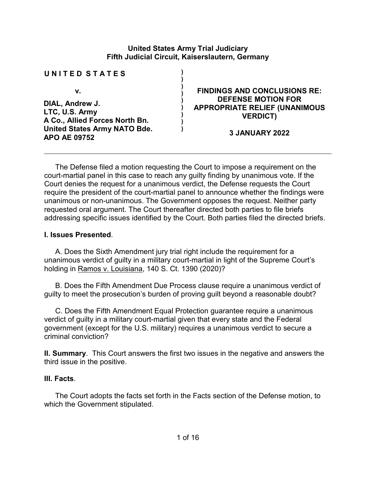#### **United States Army Trial Judiciary Fifth Judicial Circuit, Kaiserslautern, Germany**

**) ) ) ) ) ) ) ) )**

#### **U N I T E D S T A T E S**

 **v.**

**DIAL, Andrew J. LTC, U.S. Army A Co., Allied Forces North Bn. United States Army NATO Bde. APO AE 09752**

### **FINDINGS AND CONCLUSIONS RE: DEFENSE MOTION FOR APPROPRIATE RELIEF (UNANIMOUS VERDICT)**

**3 JANUARY 2022**

The Defense filed a motion requesting the Court to impose a requirement on the court-martial panel in this case to reach any guilty finding by unanimous vote. If the Court denies the request for a unanimous verdict, the Defense requests the Court require the president of the court-martial panel to announce whether the findings were unanimous or non-unanimous. The Government opposes the request. Neither party requested oral argument. The Court thereafter directed both parties to file briefs addressing specific issues identified by the Court. Both parties filed the directed briefs.

### **I. Issues Presented**.

A. Does the Sixth Amendment jury trial right include the requirement for a unanimous verdict of guilty in a military court-martial in light of the Supreme Court's holding in Ramos v. Louisiana, 140 S. Ct. 1390 (2020)?

B. Does the Fifth Amendment Due Process clause require a unanimous verdict of guilty to meet the prosecution's burden of proving guilt beyond a reasonable doubt?

C. Does the Fifth Amendment Equal Protection guarantee require a unanimous verdict of guilty in a military court-martial given that every state and the Federal government (except for the U.S. military) requires a unanimous verdict to secure a criminal conviction?

**II. Summary**. This Court answers the first two issues in the negative and answers the third issue in the positive.

### **III. Facts**.

The Court adopts the facts set forth in the Facts section of the Defense motion, to which the Government stipulated.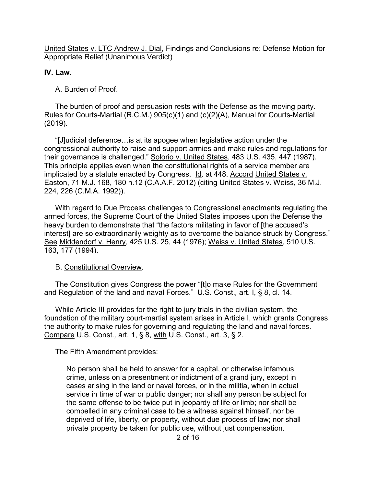### **IV. Law**.

## A. Burden of Proof.

The burden of proof and persuasion rests with the Defense as the moving party. Rules for Courts-Martial (R.C.M.) 905(c)(1) and (c)(2)(A), Manual for Courts-Martial (2019).

"[J]udicial deference…is at its apogee when legislative action under the congressional authority to raise and support armies and make rules and regulations for their governance is challenged." Solorio v. United States, 483 U.S. 435, 447 (1987). This principle applies even when the constitutional rights of a service member are implicated by a statute enacted by Congress. Id. at 448. Accord United States v. Easton, 71 M.J. 168, 180 n.12 (C.A.A.F. 2012) (citing United States v. Weiss, 36 M.J. 224, 226 (C.M.A. 1992)).

With regard to Due Process challenges to Congressional enactments regulating the armed forces, the Supreme Court of the United States imposes upon the Defense the heavy burden to demonstrate that "the factors militating in favor of [the accused's interest] are so extraordinarily weighty as to overcome the balance struck by Congress." See Middendorf v. Henry, 425 U.S. 25, 44 (1976); Weiss v. United States, 510 U.S. 163, 177 (1994).

### B. Constitutional Overview.

The Constitution gives Congress the power "[t]o make Rules for the Government and Regulation of the land and naval Forces." U.S. Const.*,* art. I, § 8, cl. 14.

While Article III provides for the right to jury trials in the civilian system, the foundation of the military court-martial system arises in Article I, which grants Congress the authority to make rules for governing and regulating the land and naval forces. Compare U.S. Const*.,* art. 1, § 8, with U.S. Const.*,* art. 3, § 2.

The Fifth Amendment provides:

No person shall be held to answer for a capital, or otherwise infamous crime, unless on a presentment or indictment of a grand jury, except in cases arising in the land or naval forces, or in the militia, when in actual service in time of war or public danger; nor shall any person be subject for the same offense to be twice put in jeopardy of life or limb; nor shall be compelled in any criminal case to be a witness against himself, nor be deprived of life, liberty, or property, without due process of law; nor shall private property be taken for public use, without just compensation.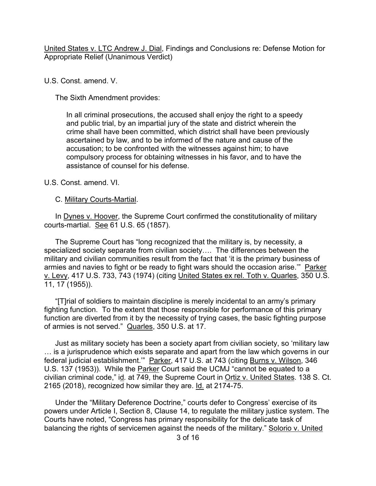U.S. Const. amend. V.

The Sixth Amendment provides:

In all criminal prosecutions, the accused shall enjoy the right to a speedy and public trial, by an impartial jury of the state and district wherein the crime shall have been committed, which district shall have been previously ascertained by law, and to be informed of the nature and cause of the accusation; to be confronted with the witnesses against him; to have compulsory process for obtaining witnesses in his favor, and to have the assistance of counsel for his defense.

U.S. Const. amend. VI.

C. Military Courts-Martial.

In Dynes v. Hoover, the Supreme Court confirmed the constitutionality of military courts-martial. See 61 U.S. 65 (1857).

The Supreme Court has "long recognized that the military is, by necessity, a specialized society separate from civilian society…. The differences between the military and civilian communities result from the fact that 'it is the primary business of armies and navies to fight or be ready to fight wars should the occasion arise.'" Parker v. Levy, 417 U.S. 733, 743 (1974) (citing United States ex rel. Toth v. Quarles, 350 U.S. 11, 17 (1955)).

"[T]rial of soldiers to maintain discipline is merely incidental to an army's primary fighting function. To the extent that those responsible for performance of this primary function are diverted from it by the necessity of trying cases, the basic fighting purpose of armies is not served."Quarles, 350 U.S. at 17.

Just as military society has been a society apart from civilian society, so 'military law … is a jurisprudence which exists separate and apart from the law which governs in our federal judicial establishment.'" Parker, 417 U.S. at 743 (citing Burns v. Wilson, 346 U.S. 137 (1953)). While the Parker Court said the UCMJ "cannot be equated to a civilian criminal code," id*.* at 749, the Supreme Court in Ortiz v. United States. 138 S. Ct. 2165 (2018), recognized how similar they are. Id. at 2174-75.

Under the "Military Deference Doctrine," courts defer to Congress' exercise of its powers under Article I, Section 8, Clause 14, to regulate the military justice system. The Courts have noted, "Congress has primary responsibility for the delicate task of balancing the rights of servicemen against the needs of the military." Solorio v. United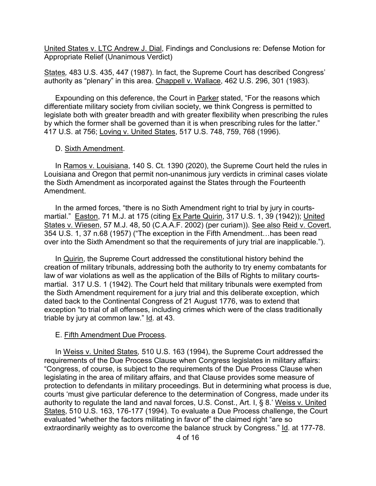States*,* 483 U.S. 435, 447 (1987). In fact, the Supreme Court has described Congress' authority as "plenary" in this area. Chappell v. Wallace, 462 U.S. 296, 301 (1983).

Expounding on this deference, the Court in Parker stated, "For the reasons which differentiate military society from civilian society, we think Congress is permitted to legislate both with greater breadth and with greater flexibility when prescribing the rules by which the former shall be governed than it is when prescribing rules for the latter." 417 U.S. at 756; Loving v. United States, 517 U.S. 748, 759, 768 (1996).

#### D. Sixth Amendment.

In Ramos v. Louisiana, 140 S. Ct. 1390 (2020), the Supreme Court held the rules in Louisiana and Oregon that permit non-unanimous jury verdicts in criminal cases violate the Sixth Amendment as incorporated against the States through the Fourteenth Amendment.

In the armed forces, "there is no Sixth Amendment right to trial by jury in courtsmartial." Easton, 71 M.J. at 175 (citing Ex Parte Quirin, 317 U.S. 1, 39 (1942)); United States v. Wiesen, 57 M.J. 48, 50 (C.A.A.F. 2002) (per curiam)). See also Reid v. Covert, 354 U.S. 1, 37 n.68 (1957) ("The exception in the Fifth Amendment…has been read over into the Sixth Amendment so that the requirements of jury trial are inapplicable.").

In Quirin, the Supreme Court addressed the constitutional history behind the creation of military tribunals, addressing both the authority to try enemy combatants for law of war violations as well as the application of the Bills of Rights to military courtsmartial. 317 U.S. 1 (1942). The Court held that military tribunals were exempted from the Sixth Amendment requirement for a jury trial and this deliberate exception, which dated back to the Continental Congress of 21 August 1776, was to extend that exception "to trial of all offenses, including crimes which were of the class traditionally triable by jury at common law." Id*.* at 43.

#### E. Fifth Amendment Due Process.

In Weiss v. United States*,* 510 U.S. 163 (1994), the Supreme Court addressed the requirements of the Due Process Clause when Congress legislates in military affairs: "Congress, of course, is subject to the requirements of the Due Process Clause when legislating in the area of military affairs, and that Clause provides some measure of protection to defendants in military proceedings. But in determining what process is due, courts 'must give particular deference to the determination of Congress, made under its authority to regulate the land and naval forces, U.S. Const., Art. I, § 8.' Weiss v. United States, 510 U.S. 163, 176-177 (1994). To evaluate a Due Process challenge, the Court evaluated "whether the factors militating in favor of" the claimed right "are so extraordinarily weighty as to overcome the balance struck by Congress." Id*.* at 177-78.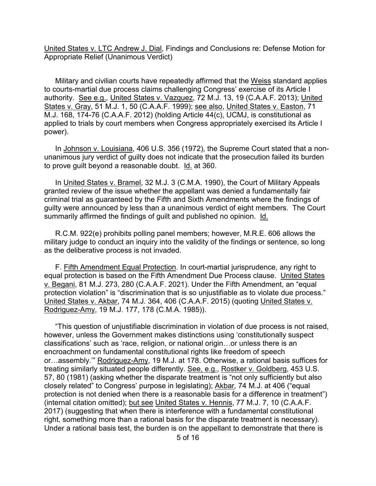Military and civilian courts have repeatedly affirmed that the Weiss standard applies to courts-martial due process claims challenging Congress' exercise of its Article I authority. See e.g.*,* United States v. Vazquez, 72 M.J. 13, 19 (C.A.A.F. 2013); United States v. Gray, 51 M.J. 1, 50 (C.A.A.F. 1999); see also, United States v. Easton, 71 M.J. 168, 174-76 (C.A.A.F. 2012) (holding Article 44(c), UCMJ, is constitutional as applied to trials by court members when Congress appropriately exercised its Article I power).

In Johnson v. Louisiana, 406 U.S. 356 (1972), the Supreme Court stated that a nonunanimous jury verdict of guilty does not indicate that the prosecution failed its burden to prove guilt beyond a reasonable doubt. Id. at 360.

In United States v. Bramel, 32 M.J. 3 (C.M.A. 1990), the Court of Military Appeals granted review of the issue whether the appellant was denied a fundamentally fair criminal trial as guaranteed by the Fifth and Sixth Amendments where the findings of guilty were announced by less than a unanimous verdict of eight members. The Court summarily affirmed the findings of guilt and published no opinion. Id.

R.C.M. 922(e) prohibits polling panel members; however, M.R.E. 606 allows the military judge to conduct an inquiry into the validity of the findings or sentence, so long as the deliberative process is not invaded.

F. Fifth Amendment Equal Protection. In court-martial jurisprudence, any right to equal protection is based on the Fifth Amendment Due Process clause. United States v. Begani, 81 M.J. 273, 280 (C.A.A.F. 2021). Under the Fifth Amendment, an "equal protection violation" is "discrimination that is so unjustifiable as to violate due process." United States v. Akbar, 74 M.J. 364, 406 (C.A.A.F. 2015) (quoting United States v. Rodriguez-Amy, 19 M.J. 177, 178 (C.M.A. 1985)).

"This question of unjustifiable discrimination in violation of due process is not raised, however, unless the Government makes distinctions using 'constitutionally suspect classifications' such as 'race, religion, or national origin…or unless there is an encroachment on fundamental constitutional rights like freedom of speech or…assembly.'" Rodriguez-Amy, 19 M.J. at 178. Otherwise, a rational basis suffices for treating similarly situated people differently. See, e.g., Rostker v. Goldberg, 453 U.S. 57, 80 (1981) (asking whether the disparate treatment is "not only sufficiently but also closely related" to Congress' purpose in legislating); Akbar*,* 74 M.J. at 406 ("equal protection is not denied when there is a reasonable basis for a difference in treatment") (internal citation omitted); but see United States v. Hennis, 77 M.J. 7, 10 (C.A.A.F. 2017) (suggesting that when there is interference with a fundamental constitutional right, something more than a rational basis for the disparate treatment is necessary). Under a rational basis test, the burden is on the appellant to demonstrate that there is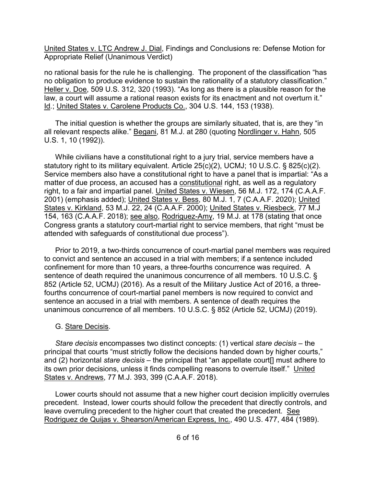no rational basis for the rule he is challenging. The proponent of the classification "has no obligation to produce evidence to sustain the rationality of a statutory classification." Heller v. Doe, 509 U.S. 312, 320 (1993). "As long as there is a plausible reason for the law, a court will assume a rational reason exists for its enactment and not overturn it." Id*.*; United States v. Carolene Products Co., 304 U.S. 144, 153 (1938).

The initial question is whether the groups are similarly situated, that is, are they "in all relevant respects alike." Begani, 81 M.J. at 280 (quoting Nordlinger v. Hahn, 505 U.S. 1, 10 (1992)).

While civilians have a constitutional right to a jury trial, service members have a statutory right to its military equivalent. Article 25(c)(2), UCMJ; 10 U.S.C. § 825(c)(2). Service members also have a constitutional right to have a panel that is impartial: "As a matter of due process, an accused has a constitutional right, as well as a regulatory right, to a fair and impartial panel. United States v. Wiesen, 56 M.J. 172, 174 (C.A.A.F. 2001) (emphasis added); United States v. Bess, 80 M.J. 1, 7 (C.A.A.F. 2020); United States v. Kirkland, 53 M.J. 22, 24 (C.A.A.F. 2000); United States v. Riesbeck, 77 M.J 154, 163 (C.A.A.F. 2018); see also, Rodriguez-Amy, 19 M.J. at 178 (stating that once Congress grants a statutory court-martial right to service members, that right "must be attended with safeguards of constitutional due process").

Prior to 2019, a two-thirds concurrence of court-martial panel members was required to convict and sentence an accused in a trial with members; if a sentence included confinement for more than 10 years, a three-fourths concurrence was required. A sentence of death required the unanimous concurrence of all members. 10 U.S.C. § 852 (Article 52, UCMJ) (2016). As a result of the Military Justice Act of 2016, a threefourths concurrence of court-martial panel members is now required to convict and sentence an accused in a trial with members. A sentence of death requires the unanimous concurrence of all members. 10 U.S.C. § 852 (Article 52, UCMJ) (2019).

# G. Stare Decisis.

*Stare decisis* encompasses two distinct concepts: (1) vertical *stare decisis* – the principal that courts "must strictly follow the decisions handed down by higher courts," and (2) horizontal *stare decisis* – the principal that "an appellate court[] must adhere to its own prior decisions, unless it finds compelling reasons to overrule itself." United States v. Andrews, 77 M.J. 393, 399 (C.A.A.F. 2018).

Lower courts should not assume that a new higher court decision implicitly overrules precedent. Instead, lower courts should follow the precedent that directly controls, and leave overruling precedent to the higher court that created the precedent.See Rodriguez de Quijas v. Shearson/American Express, Inc., 490 U.S. 477, 484 (1989).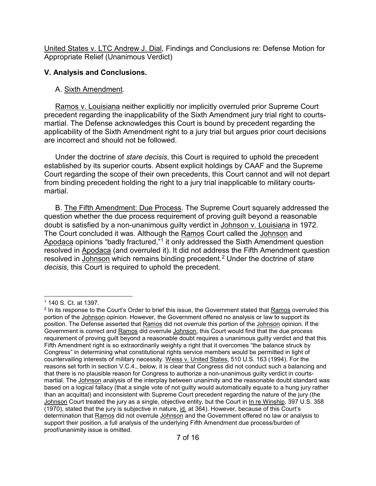# **V. Analysis and Conclusions.**

## A. Sixth Amendment.

Ramos v. Louisiana neither explicitly nor implicitly overruled prior Supreme Court precedent regarding the inapplicability of the Sixth Amendment jury trial right to courtsmartial. The Defense acknowledges this Court is bound by precedent regarding the applicability of the Sixth Amendment right to a jury trial but argues prior court decisions are incorrect and should not be followed.

Under the doctrine of *stare decisis*, this Court is required to uphold the precedent established by its superior courts. Absent explicit holdings by CAAF and the Supreme Court regarding the scope of their own precedents, this Court cannot and will not depart from binding precedent holding the right to a jury trial inapplicable to military courtsmartial.

B. The Fifth Amendment: Due Process. The Supreme Court squarely addressed the question whether the due process requirement of proving guilt beyond a reasonable doubt is satisfied by a non-unanimous guilty verdict in Johnson v. Louisiana in 1972. The Court concluded it was. Although the Ramos Court called the Johnson and Apodaca opinions "badly fractured,"<sup>[1](#page-6-0)</sup> it only addressed the Sixth Amendment question resolved in Apodaca (and overruled it). It did not address the Fifth Amendment question resolved in Johnson which remains binding precedent[.2](#page-6-1) Under the doctrine of *stare decisis*, this Court is required to uphold the precedent.

<span id="page-6-0"></span> $\overline{a}$ <sup>1</sup> 140 S. Ct. at 1397.

<span id="page-6-1"></span><sup>&</sup>lt;sup>2</sup> In its response to the Court's Order to brief this issue, the Government stated that Ramos overruled this portion of the Johnson opinion. However, the Government offered no analysis or law to support its position. The Defense asserted that Ramos did not overrule this portion of the Johnson opinion. If the Government is correct and Ramos did overrule Johnson, this Court would find that the due process requirement of proving guilt beyond a reasonable doubt requires a unanimous guilty verdict and that this Fifth Amendment right is so extraordinarily weighty a right that it overcomes "the balance struck by Congress" in determining what constitutional rights service members would be permitted in light of countervailing interests of military necessity. Weiss v. United States*,* 510 U.S. 163 (1994). For the reasons set forth in section V.C.4., below, it is clear that Congress did not conduct such a balancing and that there is no plausible reason for Congress to authorize a non-unanimous guilty verdict in courtsmartial. The Johnson analysis of the interplay between unanimity and the reasonable doubt standard was based on a logical fallacy (that a single vote of not guilty would automatically equate to a hung jury rather than an acquittal) and inconsistent with Supreme Court precedent regarding the nature of the jury (the Johnson Court treated the jury as a single, objective entity, but the Court in In re Winship, 397 U.S. 358 (1970), stated that the jury is subjective in nature, id. at 364). However, because of this Court's determination that Ramos did not overrule Johnson and the Government offered no law or analysis to support their position, a full analysis of the underlying Fifth Amendment due process/burden of proof/unanimity issue is omitted.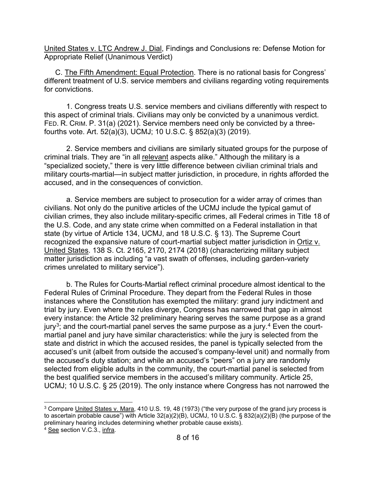C. The Fifth Amendment: Equal Protection. There is no rational basis for Congress' different treatment of U.S. service members and civilians regarding voting requirements for convictions.

1. Congress treats U.S. service members and civilians differently with respect to this aspect of criminal trials. Civilians may only be convicted by a unanimous verdict. FED. R. CRIM. P. 31(a) (2021). Service members need only be convicted by a threefourths vote. Art. 52(a)(3), UCMJ; 10 U.S.C. § 852(a)(3) (2019).

2. Service members and civilians are similarly situated groups for the purpose of criminal trials. They are "in all relevant aspects alike." Although the military is a "specialized society," there is very little difference between civilian criminal trials and military courts-martial—in subject matter jurisdiction, in procedure, in rights afforded the accused, and in the consequences of conviction.

a. Service members are subject to prosecution for a wider array of crimes than civilians. Not only do the punitive articles of the UCMJ include the typical gamut of civilian crimes, they also include military-specific crimes, all Federal crimes in Title 18 of the U.S. Code, and any state crime when committed on a Federal installation in that state (by virtue of Article 134, UCMJ, and 18 U.S.C. § 13). The Supreme Court recognized the expansive nature of court-martial subject matter jurisdiction in Ortiz v. United States. 138 S. Ct. 2165, 2170, 2174 (2018) (characterizing military subject matter jurisdiction as including "a vast swath of offenses, including garden-variety crimes unrelated to military service").

b. The Rules for Courts-Martial reflect criminal procedure almost identical to the Federal Rules of Criminal Procedure. They depart from the Federal Rules in those instances where the Constitution has exempted the military: grand jury indictment and trial by jury. Even where the rules diverge, Congress has narrowed that gap in almost every instance: the Article 32 preliminary hearing serves the same purpose as a grand jury<sup>[3](#page-7-0)</sup>; and the court-martial panel serves the same purpose as a jury.<sup>[4](#page-7-1)</sup> Even the courtmartial panel and jury have similar characteristics: while the jury is selected from the state and district in which the accused resides, the panel is typically selected from the accused's unit (albeit from outside the accused's company-level unit) and normally from the accused's duty station; and while an accused's "peers" on a jury are randomly selected from eligible adults in the community, the court-martial panel is selected from the best qualified service members in the accused's military community. Article 25, UCMJ; 10 U.S.C. § 25 (2019). The only instance where Congress has not narrowed the

 $\overline{a}$ 

<span id="page-7-0"></span><sup>&</sup>lt;sup>3</sup> Compare United States v. Mara, 410 U.S. 19, 48 (1973) ("the very purpose of the grand jury process is to ascertain probable cause") with Article 32(a)(2)(B), UCMJ, 10 U.S.C. § 832(a)(2)(B) (the purpose of the preliminary hearing includes determining whether probable cause exists).

<span id="page-7-1"></span><sup>4</sup> See section V.C.3., infra.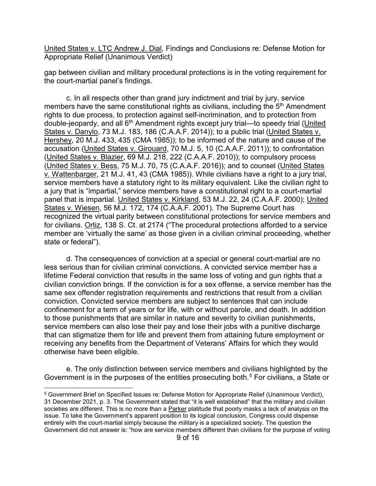gap between civilian and military procedural protections is in the voting requirement for the court-martial panel's findings.

c. In all respects other than grand jury indictment and trial by jury, service members have the same constitutional rights as civilians, including the 5<sup>th</sup> Amendment rights to due process, to protection against self-incrimination, and to protection from double-jeopardy, and all 6<sup>th</sup> Amendment rights except jury trial—to speedy trial (United States v. Danylo, 73 M.J. 183, 186 (C.A.A.F. 2014)); to a public trial (United States v. Hershey, 20 M.J. 433, 435 (CMA 1985)); to be informed of the nature and cause of the accusation (United States v. Girouard, 70 M.J. 5, 10 (C.A.A.F. 2011)); to confrontation (United States v. Blazier, 69 M.J. 218, 222 (C.A.A.F. 2010)); to compulsory process (United States v. Bess, 75 M.J. 70, 75 (C.A.A.F. 2016)); and to counsel (United States v. Wattenbarger, 21 M.J. 41, 43 (CMA 1985)). While civilians have a right to a jury trial, service members have a statutory right to its military equivalent. Like the civilian right to a jury that is "impartial," service members have a constitutional right to a court-martial panel that is impartial. United States v. Kirkland, 53 M.J. 22, 24 (C.A.A.F. 2000); United States v. Wiesen, 56 M.J. 172, 174 (C.A.A.F. 2001). The Supreme Court has recognized the virtual parity between constitutional protections for service members and for civilians. Ortiz, 138 S. Ct. at 2174 ("The procedural protections afforded to a service member are 'virtually the same' as those given in a civilian criminal proceeding, whether state or federal").

d. The consequences of conviction at a special or general court-martial are no less serious than for civilian criminal convictions. A convicted service member has a lifetime Federal conviction that results in the same loss of voting and gun rights that a civilian conviction brings. If the conviction is for a sex offense, a service member has the same sex offender registration requirements and restrictions that result from a civilian conviction. Convicted service members are subject to sentences that can include confinement for a term of years or for life, with or without parole, and death. In addition to those punishments that are similar in nature and severity to civilian punishments, service members can also lose their pay and lose their jobs with a punitive discharge that can stigmatize them for life and prevent them from attaining future employment or receiving any benefits from the Department of Veterans' Affairs for which they would otherwise have been eligible.

e. The only distinction between service members and civilians highlighted by the Government is in the purposes of the entities prosecuting both.<sup>[5](#page-8-0)</sup> For civilians, a State or

 $\overline{a}$ 

<span id="page-8-0"></span><sup>5</sup> Government Brief on Specified Issues re: Defense Motion for Appropriate Relief (Unanimous Verdict), 31 December 2021, p. 3. The Government stated that "it is well established" that the military and civilian societies are different. This is no more than a Parker platitude that poorly masks a lack of analysis on the issue. To take the Government's apparent position to its logical conclusion, Congress could dispense entirely with the court-martial simply because the military is a specialized society. The question the Government did not answer is: "how are service members different than civilians for the purpose of voting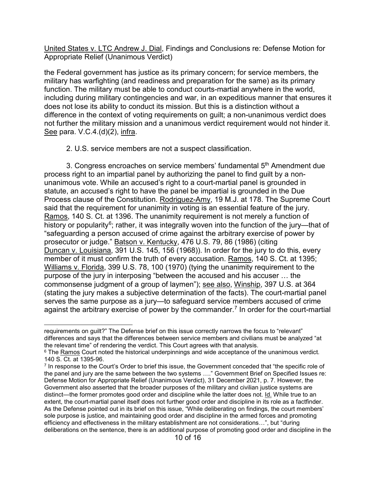the Federal government has justice as its primary concern; for service members, the military has warfighting (and readiness and preparation for the same) as its primary function. The military must be able to conduct courts-martial anywhere in the world, including during military contingencies and war, in an expeditious manner that ensures it does not lose its ability to conduct its mission. But this is a distinction without a difference in the context of voting requirements on guilt; a non-unanimous verdict does not further the military mission and a unanimous verdict requirement would not hinder it. See para. V.C.4.(d)(2), infra.

2. U.S. service members are not a suspect classification.

3. Congress encroaches on service members' fundamental 5<sup>th</sup> Amendment due process right to an impartial panel by authorizing the panel to find guilt by a nonunanimous vote. While an accused's right to a court-martial panel is grounded in statute, an accused's right to have the panel be impartial is grounded in the Due Process clause of the Constitution. Rodriguez-Amy, 19 M.J. at 178. The Supreme Court said that the requirement for unanimity in voting is an essential feature of the jury. Ramos, 140 S. Ct. at 1396. The unanimity requirement is not merely a function of history or popularity<sup>6</sup>; rather, it was integrally woven into the function of the jury—that of "safeguarding a person accused of crime against the arbitrary exercise of power by prosecutor or judge." Batson v. Kentucky, 476 U.S. 79, 86 (1986) (citing Duncan v. Louisiana, 391 U.S. 145, 156 (1968)). In order for the jury to do this, every member of it must confirm the truth of every accusation. Ramos, 140 S. Ct. at 1395; Williams v. Florida, 399 U.S. 78, 100 (1970) (tying the unanimity requirement to the purpose of the jury in interposing "between the accused and his accuser … the commonsense judgment of a group of laymen"); see also, Winship, 397 U.S. at 364 (stating the jury makes a subjective determination of the facts). The court-martial panel serves the same purpose as a jury—to safeguard service members accused of crime against the arbitrary exercise of power by the commander.<sup>[7](#page-9-1)</sup> In order for the court-martial

 $\overline{a}$ requirements on guilt?" The Defense brief on this issue correctly narrows the focus to "relevant" differences and says that the differences between service members and civilians must be analyzed "at the relevant time" of rendering the verdict. This Court agrees with that analysis.

<span id="page-9-0"></span><sup>&</sup>lt;sup>6</sup> The Ramos Court noted the historical underpinnings and wide acceptance of the unanimous verdict. 140 S. Ct. at 1395-96.

<span id="page-9-1"></span><sup>7</sup> In response to the Court's Order to brief this issue, the Government conceded that "the specific role of the panel and jury are the same between the two systems …." Government Brief on Specified Issues re: Defense Motion for Appropriate Relief (Unanimous Verdict), 31 December 2021, p. 7. However, the Government also asserted that the broader purposes of the military and civilian justice systems are distinct—the former promotes good order and discipline while the latter does not. Id. While true to an extent, the court-martial panel itself does not further good order and discipline in its role as a factfinder. As the Defense pointed out in its brief on this issue, "While deliberating on findings, the court members' sole purpose is justice, and maintaining good order and discipline in the armed forces and promoting efficiency and effectiveness in the military establishment are not considerations…", but "during deliberations on the sentence, there is an additional purpose of promoting good order and discipline in the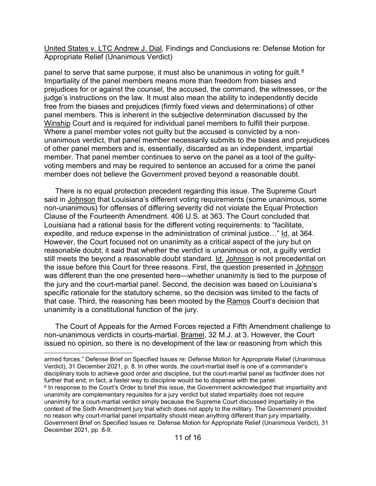panel to serve that same purpose, it must also be unanimous in voting for guilt.<sup>[8](#page-10-0)</sup> Impartiality of the panel members means more than freedom from biases and prejudices for or against the counsel, the accused, the command, the witnesses, or the judge's instructions on the law. It must also mean the ability to independently decide free from the biases and prejudices (firmly fixed views and determinations) of other panel members. This is inherent in the subjective determination discussed by the Winship Court and is required for individual panel members to fulfill their purpose. Where a panel member votes not guilty but the accused is convicted by a nonunanimous verdict, that panel member necessarily submits to the biases and prejudices of other panel members and is, essentially, discarded as an independent, impartial member. That panel member continues to serve on the panel as a tool of the guiltyvoting members and may be required to sentence an accused for a crime the panel member does not believe the Government proved beyond a reasonable doubt.

There is no equal protection precedent regarding this issue. The Supreme Court said in Johnson that Louisiana's different voting requirements (some unanimous, some non-unanimous) for offenses of differing severity did not violate the Equal Protection Clause of the Fourteenth Amendment. 406 U.S. at 363. The Court concluded that Louisiana had a rational basis for the different voting requirements: to "facilitate, expedite, and reduce expense in the administration of criminal justice…" Id. at 364. However, the Court focused not on unanimity as a critical aspect of the jury but on reasonable doubt; it said that whether the verdict is unanimous or not, a guilty verdict still meets the beyond a reasonable doubt standard. Id. Johnson is not precedential on the issue before this Court for three reasons. First, the question presented in Johnson was different than the one presented here—whether unanimity is tied to the purpose of the jury and the court-martial panel. Second, the decision was based on Louisiana's specific rationale for the statutory scheme, so the decision was limited to the facts of that case. Third, the reasoning has been mooted by the Ramos Court's decision that unanimity is a constitutional function of the jury.

The Court of Appeals for the Armed Forces rejected a Fifth Amendment challenge to non-unanimous verdicts in courts-martial. Bramel, 32 M.J. at 3. However, the Court issued no opinion, so there is no development of the law or reasoning from which this

 $\overline{a}$ armed forces." Defense Brief on Specified Issues re: Defense Motion for Appropriate Relief (Unanimous Verdict), 31 December 2021, p. 8. In other words, the court-martial itself is one of a commander's disciplinary tools to achieve good order and discipline, but the court-martial panel as factfinder does not further that end; in fact, a faster way to discipline would be to dispense with the panel.

<span id="page-10-0"></span><sup>&</sup>lt;sup>8</sup> In response to the Court's Order to brief this issue, the Government acknowledged that impartiality and unanimity are complementary requisites for a jury verdict but stated impartiality does not require unanimity for a court-martial verdict simply because the Supreme Court discussed impartiality in the context of the Sixth Amendment jury trial which does not apply to the military. The Government provided no reason why court-martial panel impartiality should mean anything different than jury impartiality. Government Brief on Specified Issues re: Defense Motion for Appropriate Relief (Unanimous Verdict), 31 December 2021, pp. 8-9.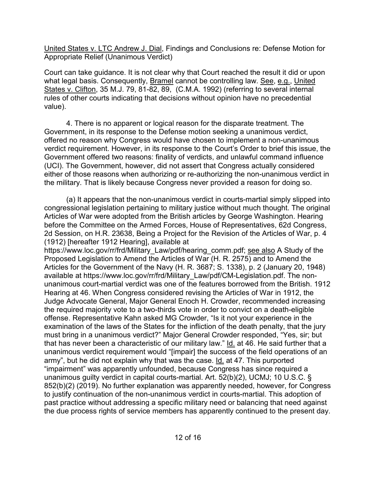Court can take guidance. It is not clear why that Court reached the result it did or upon what legal basis. Consequently, Bramel cannot be controlling law. See, e.g., United States v. Clifton, 35 M.J. 79, 81-82, 89, (C.M.A. 1992) (referring to several internal rules of other courts indicating that decisions without opinion have no precedential value).

4. There is no apparent or logical reason for the disparate treatment. The Government, in its response to the Defense motion seeking a unanimous verdict, offered no reason why Congress would have chosen to implement a non-unanimous verdict requirement. However, in its response to the Court's Order to brief this issue, the Government offered two reasons: finality of verdicts, and unlawful command influence (UCI). The Government, however, did not assert that Congress actually considered either of those reasons when authorizing or re-authorizing the non-unanimous verdict in the military. That is likely because Congress never provided a reason for doing so.

(a) It appears that the non-unanimous verdict in courts-martial simply slipped into congressional legislation pertaining to military justice without much thought. The original Articles of War were adopted from the British articles by George Washington. Hearing before the Committee on the Armed Forces, House of Representatives, 62d Congress, 2d Session, on H.R. 23638, Being a Project for the Revision of the Articles of War, p. 4 (1912) [hereafter 1912 Hearing], available at

https://www.loc.gov/rr/frd/Military\_Law/pdf/hearing\_comm.pdf; see also A Study of the Proposed Legislation to Amend the Articles of War (H. R. 2575) and to Amend the Articles for the Government of the Navy (H. R. 3687; S. 1338), p. 2 (January 20, 1948) available at https://www.loc.gov/rr/frd/Military\_Law/pdf/CM-Legislation.pdf. The nonunanimous court-martial verdict was one of the features borrowed from the British. 1912 Hearing at 46. When Congress considered revising the Articles of War in 1912, the Judge Advocate General, Major General Enoch H. Crowder, recommended increasing the required majority vote to a two-thirds vote in order to convict on a death-eligible offense. Representative Kahn asked MG Crowder, "Is it not your experience in the examination of the laws of the States for the infliction of the death penalty, that the jury must bring in a unanimous verdict?" Major General Crowder responded, "Yes, sir; but that has never been a characteristic of our military law." Id. at 46. He said further that a unanimous verdict requirement would "[impair] the success of the field operations of an army", but he did not explain why that was the case. Id. at 47. This purported "impairment" was apparently unfounded, because Congress has since required a unanimous guilty verdict in capital courts-martial. Art. 52(b)(2), UCMJ; 10 U.S.C. § 852(b)(2) (2019). No further explanation was apparently needed, however, for Congress to justify continuation of the non-unanimous verdict in courts-martial. This adoption of past practice without addressing a specific military need or balancing that need against the due process rights of service members has apparently continued to the present day.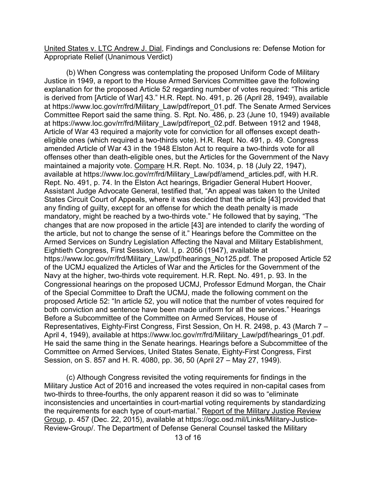(b) When Congress was contemplating the proposed Uniform Code of Military Justice in 1949, a report to the House Armed Services Committee gave the following explanation for the proposed Article 52 regarding number of votes required: "This article is derived from [Article of War] 43." H.R. Rept. No. 491, p. 26 (April 28, 1949), available at https://www.loc.gov/rr/frd/Military\_Law/pdf/report\_01.pdf. The Senate Armed Services Committee Report said the same thing. S. Rpt. No. 486, p. 23 (June 10, 1949) available at https://www.loc.gov/rr/frd/Military\_Law/pdf/report\_02.pdf. Between 1912 and 1948, Article of War 43 required a majority vote for conviction for all offenses except deatheligible ones (which required a two-thirds vote). H.R. Rept. No. 491, p. 49. Congress amended Article of War 43 in the 1948 Elston Act to require a two-thirds vote for all offenses other than death-eligible ones, but the Articles for the Government of the Navy maintained a majority vote. Compare H.R. Rept. No. 1034, p. 18 (July 22, 1947), available at https://www.loc.gov/rr/frd/Military\_Law/pdf/amend\_articles.pdf, with H.R. Rept. No. 491, p. 74. In the Elston Act hearings, Brigadier General Hubert Hoover, Assistant Judge Advocate General, testified that, "An appeal was taken to the United States Circuit Court of Appeals, where it was decided that the article [43] provided that any finding of guilty, except for an offense for which the death penalty is made mandatory, might be reached by a two-thirds vote." He followed that by saying, "The changes that are now proposed in the article [43] are intended to clarify the wording of the article, but not to change the sense of it." Hearings before the Committee on the Armed Services on Sundry Legislation Affecting the Naval and Military Establishment, Eightieth Congress, First Session, Vol. I, p. 2056 (1947), available at https://www.loc.gov/rr/frd/Military\_Law/pdf/hearings\_No125.pdf. The proposed Article 52 of the UCMJ equalized the Articles of War and the Articles for the Government of the Navy at the higher, two-thirds vote requirement. H.R. Rept. No. 491, p. 93. In the Congressional hearings on the proposed UCMJ, Professor Edmund Morgan, the Chair of the Special Committee to Draft the UCMJ, made the following comment on the proposed Article 52: "In article 52, you will notice that the number of votes required for both conviction and sentence have been made uniform for all the services." Hearings Before a Subcommittee of the Committee on Armed Services, House of Representatives, Eighty-First Congress, First Session, On H. R. 2498, p. 43 (March 7 – April 4, 1949), available at https://www.loc.gov/rr/frd/Military\_Law/pdf/hearings\_01.pdf. He said the same thing in the Senate hearings. Hearings before a Subcommittee of the Committee on Armed Services, United States Senate, Eighty-First Congress, First Session, on S. 857 and H. R. 4080, pp. 36, 50 (April 27 – May 27, 1949).

(c) Although Congress revisited the voting requirements for findings in the Military Justice Act of 2016 and increased the votes required in non-capital cases from two-thirds to three-fourths, the only apparent reason it did so was to "eliminate inconsistencies and uncertainties in court-martial voting requirements by standardizing the requirements for each type of court-martial." Report of the Military Justice Review Group, p. 457 (Dec. 22, 2015), available at https://ogc.osd.mil/Links/Military-Justice-Review-Group/. The Department of Defense General Counsel tasked the Military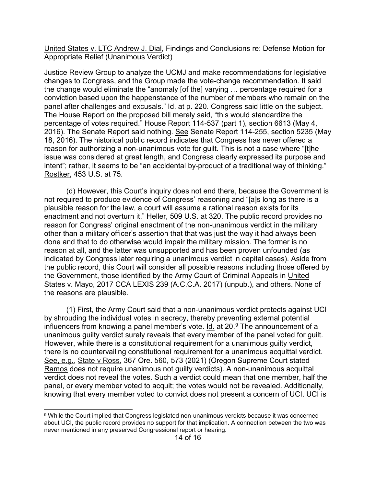Justice Review Group to analyze the UCMJ and make recommendations for legislative changes to Congress, and the Group made the vote-change recommendation. It said the change would eliminate the "anomaly [of the] varying … percentage required for a conviction based upon the happenstance of the number of members who remain on the panel after challenges and excusals." Id. at p. 220. Congress said little on the subject. The House Report on the proposed bill merely said, "this would standardize the percentage of votes required." House Report 114-537 (part 1), section 6613 (May 4, 2016). The Senate Report said nothing. See Senate Report 114-255, section 5235 (May 18, 2016). The historical public record indicates that Congress has never offered a reason for authorizing a non-unanimous vote for guilt. This is not a case where "[t]he issue was considered at great length, and Congress clearly expressed its purpose and intent"; rather, it seems to be "an accidental by-product of a traditional way of thinking." Rostker, 453 U.S. at 75.

(d) However, this Court's inquiry does not end there, because the Government is not required to produce evidence of Congress' reasoning and "[a]s long as there is a plausible reason for the law, a court will assume a rational reason exists for its enactment and not overturn it." Heller, 509 U.S. at 320. The public record provides no reason for Congress' original enactment of the non-unanimous verdict in the military other than a military officer's assertion that that was just the way it had always been done and that to do otherwise would impair the military mission. The former is no reason at all, and the latter was unsupported and has been proven unfounded (as indicated by Congress later requiring a unanimous verdict in capital cases). Aside from the public record, this Court will consider all possible reasons including those offered by the Government, those identified by the Army Court of Criminal Appeals in United States v. Mayo, 2017 CCA LEXIS 239 (A.C.C.A. 2017) (unpub.), and others. None of the reasons are plausible.

(1) First, the Army Court said that a non-unanimous verdict protects against UCI by shrouding the individual votes in secrecy, thereby preventing external potential influencers from knowing a panel member's vote. Id. at  $20.9$  $20.9$  The announcement of a unanimous guilty verdict surely reveals that every member of the panel voted for guilt. However, while there is a constitutional requirement for a unanimous guilty verdict, there is no countervailing constitutional requirement for a unanimous acquittal verdict. See, e.g., State v Ross, 367 Ore. 560, 573 (2021) (Oregon Supreme Court stated Ramos does not require unanimous not guilty verdicts). A non-unanimous acquittal verdict does not reveal the votes. Such a verdict could mean that one member, half the panel, or every member voted to acquit; the votes would not be revealed. Additionally, knowing that every member voted to convict does not present a concern of UCI. UCI is

<span id="page-13-0"></span> $\overline{a}$ <sup>9</sup> While the Court implied that Congress legislated non-unanimous verdicts because it was concerned about UCI, the public record provides no support for that implication. A connection between the two was never mentioned in any preserved Congressional report or hearing.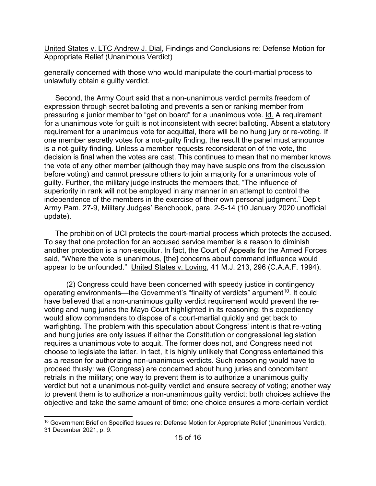generally concerned with those who would manipulate the court-martial process to unlawfully obtain a guilty verdict.

Second, the Army Court said that a non-unanimous verdict permits freedom of expression through secret balloting and prevents a senior ranking member from pressuring a junior member to "get on board" for a unanimous vote. Id. A requirement for a unanimous vote for guilt is not inconsistent with secret balloting. Absent a statutory requirement for a unanimous vote for acquittal, there will be no hung jury or re-voting. If one member secretly votes for a not-guilty finding, the result the panel must announce is a not-guilty finding. Unless a member requests reconsideration of the vote, the decision is final when the votes are cast. This continues to mean that no member knows the vote of any other member (although they may have suspicions from the discussion before voting) and cannot pressure others to join a majority for a unanimous vote of guilty. Further, the military judge instructs the members that, "The influence of superiority in rank will not be employed in any manner in an attempt to control the independence of the members in the exercise of their own personal judgment." Dep't Army Pam. 27-9, Military Judges' Benchbook, para. 2-5-14 (10 January 2020 unofficial update).

The prohibition of UCI protects the court-martial process which protects the accused. To say that one protection for an accused service member is a reason to diminish another protection is a non-sequitur. In fact, the Court of Appeals for the Armed Forces said, "Where the vote is unanimous, [the] concerns about command influence would appear to be unfounded." United States v. Loving, 41 M.J. 213, 296 (C.A.A.F. 1994).

(2) Congress could have been concerned with speedy justice in contingency operating environments—the Government's "finality of verdicts" argument<sup>10</sup>. It could have believed that a non-unanimous guilty verdict requirement would prevent the revoting and hung juries the Mayo Court highlighted in its reasoning; this expediency would allow commanders to dispose of a court-martial quickly and get back to warfighting. The problem with this speculation about Congress' intent is that re-voting and hung juries are only issues if either the Constitution or congressional legislation requires a unanimous vote to acquit. The former does not, and Congress need not choose to legislate the latter. In fact, it is highly unlikely that Congress entertained this as a reason for authorizing non-unanimous verdicts. Such reasoning would have to proceed thusly: we (Congress) are concerned about hung juries and concomitant retrials in the military; one way to prevent them is to authorize a unanimous guilty verdict but not a unanimous not-guilty verdict and ensure secrecy of voting; another way to prevent them is to authorize a non-unanimous guilty verdict; both choices achieve the objective and take the same amount of time; one choice ensures a more-certain verdict

<span id="page-14-0"></span> $\overline{a}$ <sup>10</sup> Government Brief on Specified Issues re: Defense Motion for Appropriate Relief (Unanimous Verdict), 31 December 2021, p. 9.